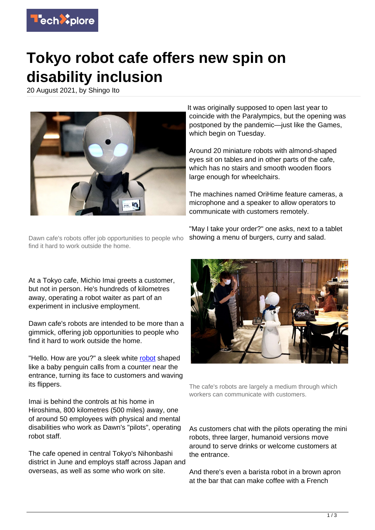

## **Tokyo robot cafe offers new spin on disability inclusion**

20 August 2021, by Shingo Ito



Dawn cafe's robots offer job opportunities to people who find it hard to work outside the home.

At a Tokyo cafe, Michio Imai greets a customer, but not in person. He's hundreds of kilometres away, operating a robot waiter as part of an experiment in inclusive employment.

Dawn cafe's robots are intended to be more than a gimmick, offering job opportunities to people who find it hard to work outside the home.

"Hello. How are you?" a sleek white [robot](https://techxplore.com/tags/robot/) shaped like a baby penguin calls from a counter near the entrance, turning its face to customers and waving its flippers.

Imai is behind the controls at his home in Hiroshima, 800 kilometres (500 miles) away, one of around 50 employees with physical and mental disabilities who work as Dawn's "pilots", operating robot staff.

The cafe opened in central Tokyo's Nihonbashi district in June and employs staff across Japan and overseas, as well as some who work on site.

It was originally supposed to open last year to coincide with the Paralympics, but the opening was postponed by the pandemic—just like the Games, which begin on Tuesday.

Around 20 miniature robots with almond-shaped eyes sit on tables and in other parts of the cafe, which has no stairs and smooth wooden floors large enough for wheelchairs.

The machines named OriHime feature cameras, a microphone and a speaker to allow operators to communicate with customers remotely.

"May I take your order?" one asks, next to a tablet showing a menu of burgers, curry and salad.



The cafe's robots are largely a medium through which workers can communicate with customers.

As customers chat with the pilots operating the mini robots, three larger, humanoid versions move around to serve drinks or welcome customers at the entrance.

And there's even a barista robot in a brown apron at the bar that can make coffee with a French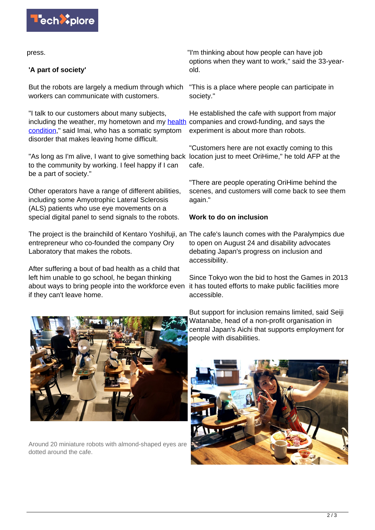

press.

## **'A part of society'**

But the robots are largely a medium through which workers can communicate with customers.

"I talk to our customers about many subjects, including the weather, my hometown and my [health](https://techxplore.com/tags/health+condition/) [condition](https://techxplore.com/tags/health+condition/)," said Imai, who has a somatic symptom disorder that makes leaving home difficult.

"As long as I'm alive, I want to give something back location just to meet OriHime," he told AFP at the to the community by working. I feel happy if I can be a part of society."

Other operators have a range of different abilities, including some Amyotrophic Lateral Sclerosis (ALS) patients who use eye movements on a special digital panel to send signals to the robots.

The project is the brainchild of Kentaro Yoshifuji, an The cafe's launch comes with the Paralympics due entrepreneur who co-founded the company Ory Laboratory that makes the robots.

After suffering a bout of bad health as a child that left him unable to go school, he began thinking about ways to bring people into the workforce even if they can't leave home.

"I'm thinking about how people can have job options when they want to work," said the 33-yearold.

"This is a place where people can participate in society."

He established the cafe with support from major companies and crowd-funding, and says the experiment is about more than robots.

"Customers here are not exactly coming to this cafe.

"There are people operating OriHime behind the scenes, and customers will come back to see them again."

## **Work to do on inclusion**

to open on August 24 and disability advocates debating Japan's progress on inclusion and accessibility.

Since Tokyo won the bid to host the Games in 2013 it has touted efforts to make public facilities more accessible.



Around 20 miniature robots with almond-shaped eyes are dotted around the cafe.

But support for inclusion remains limited, said Seiji Watanabe, head of a non-profit organisation in central Japan's Aichi that supports employment for people with disabilities.